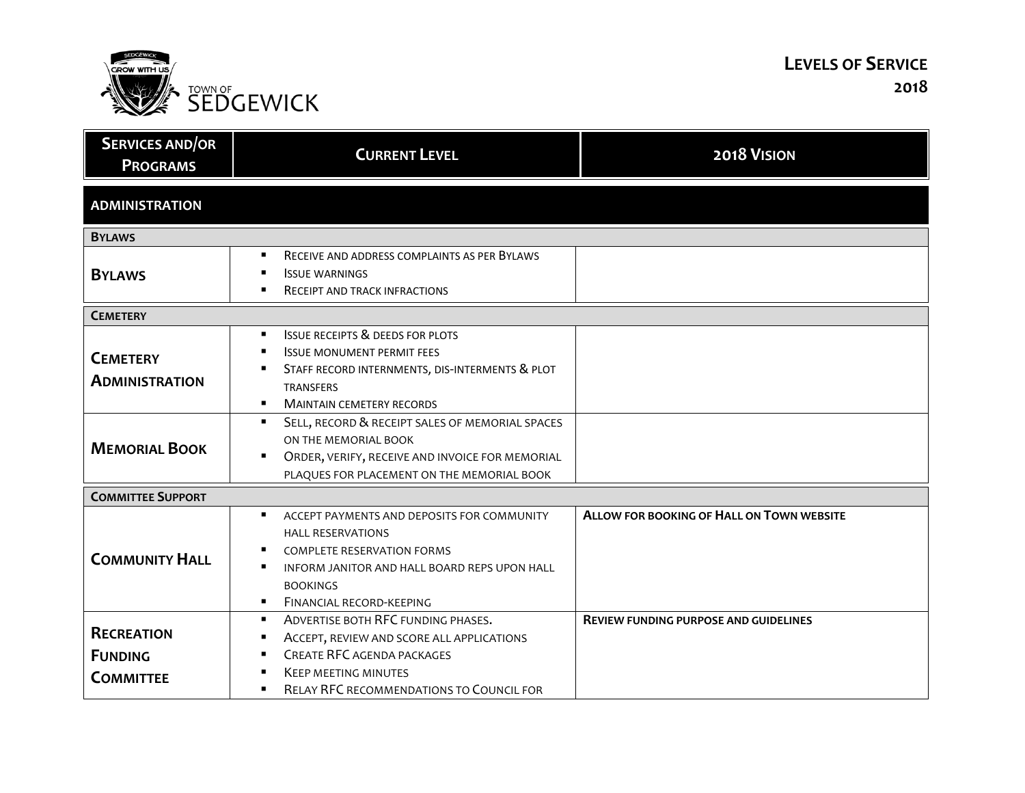

## **LEVELS OF SERVICE 2018**

| <b>SERVICES AND/OR</b><br><b>PROGRAMS</b>               | <b>CURRENT LEVEL</b>                                                                                                                                                                                                               | 2018 VISION                                      |
|---------------------------------------------------------|------------------------------------------------------------------------------------------------------------------------------------------------------------------------------------------------------------------------------------|--------------------------------------------------|
| <b>ADMINISTRATION</b>                                   |                                                                                                                                                                                                                                    |                                                  |
| <b>BYLAWS</b>                                           |                                                                                                                                                                                                                                    |                                                  |
| <b>BYLAWS</b>                                           | RECEIVE AND ADDRESS COMPLAINTS AS PER BYLAWS<br>$\blacksquare$<br><b>ISSUE WARNINGS</b><br>RECEIPT AND TRACK INFRACTIONS                                                                                                           |                                                  |
| <b>CEMETERY</b>                                         |                                                                                                                                                                                                                                    |                                                  |
| <b>CEMETERY</b><br><b>ADMINISTRATION</b>                | <b>ISSUE RECEIPTS &amp; DEEDS FOR PLOTS</b><br><b>ISSUE MONUMENT PERMIT FEES</b><br>STAFF RECORD INTERNMENTS, DIS-INTERMENTS & PLOT<br><b>TRANSFERS</b><br><b>MAINTAIN CEMETERY RECORDS</b><br>٠                                   |                                                  |
| <b>MEMORIAL BOOK</b>                                    | SELL, RECORD & RECEIPT SALES OF MEMORIAL SPACES<br>$\blacksquare$<br>ON THE MEMORIAL BOOK<br>ORDER, VERIFY, RECEIVE AND INVOICE FOR MEMORIAL<br>PLAQUES FOR PLACEMENT ON THE MEMORIAL BOOK                                         |                                                  |
| <b>COMMITTEE SUPPORT</b>                                |                                                                                                                                                                                                                                    |                                                  |
| <b>COMMUNITY HALL</b>                                   | $\blacksquare$<br>ACCEPT PAYMENTS AND DEPOSITS FOR COMMUNITY<br><b>HALL RESERVATIONS</b><br><b>COMPLETE RESERVATION FORMS</b><br>INFORM JANITOR AND HALL BOARD REPS UPON HALL<br><b>BOOKINGS</b><br>FINANCIAL RECORD-KEEPING<br>п. | <b>ALLOW FOR BOOKING OF HALL ON TOWN WEBSITE</b> |
| <b>RECREATION</b><br><b>FUNDING</b><br><b>COMMITTEE</b> | ADVERTISE BOTH RFC FUNDING PHASES.<br>٠<br>ACCEPT, REVIEW AND SCORE ALL APPLICATIONS<br><b>CREATE RFC AGENDA PACKAGES</b><br><b>KEEP MEETING MINUTES</b>                                                                           | <b>REVIEW FUNDING PURPOSE AND GUIDELINES</b>     |
|                                                         | RELAY RFC RECOMMENDATIONS TO COUNCIL FOR                                                                                                                                                                                           |                                                  |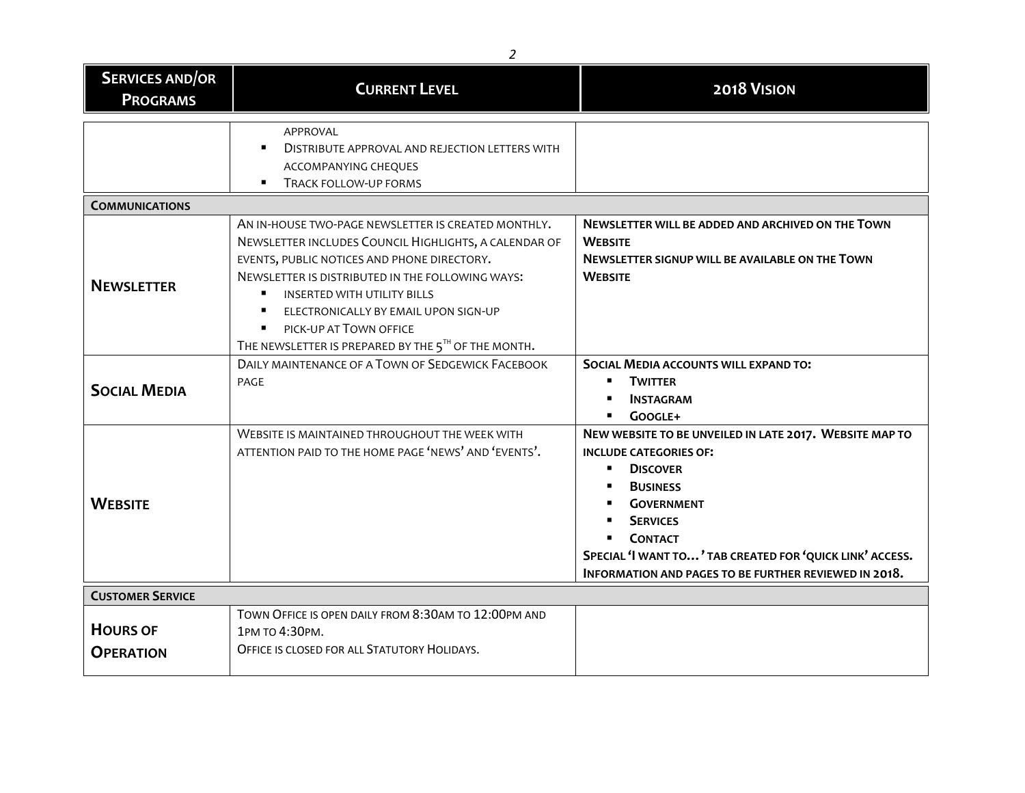| 2                                         |                                                                                                                                                                                                                                                                                                                                                                                |                                                                                                                                                                                                                                                                                                                    |
|-------------------------------------------|--------------------------------------------------------------------------------------------------------------------------------------------------------------------------------------------------------------------------------------------------------------------------------------------------------------------------------------------------------------------------------|--------------------------------------------------------------------------------------------------------------------------------------------------------------------------------------------------------------------------------------------------------------------------------------------------------------------|
| <b>SERVICES AND/OR</b><br><b>PROGRAMS</b> | <b>CURRENT LEVEL</b>                                                                                                                                                                                                                                                                                                                                                           | 2018 VISION                                                                                                                                                                                                                                                                                                        |
|                                           | APPROVAL<br>DISTRIBUTE APPROVAL AND REJECTION LETTERS WITH<br>ACCOMPANYING CHEQUES<br>TRACK FOLLOW-UP FORMS                                                                                                                                                                                                                                                                    |                                                                                                                                                                                                                                                                                                                    |
| <b>COMMUNICATIONS</b>                     |                                                                                                                                                                                                                                                                                                                                                                                |                                                                                                                                                                                                                                                                                                                    |
| <b>NEWSLETTER</b>                         | AN IN-HOUSE TWO-PAGE NEWSLETTER IS CREATED MONTHLY.<br>NEWSLETTER INCLUDES COUNCIL HIGHLIGHTS, A CALENDAR OF<br>EVENTS, PUBLIC NOTICES AND PHONE DIRECTORY.<br>NEWSLETTER IS DISTRIBUTED IN THE FOLLOWING WAYS:<br><b>INSERTED WITH UTILITY BILLS</b><br>ELECTRONICALLY BY EMAIL UPON SIGN-UP<br>PICK-UP AT TOWN OFFICE<br>THE NEWSLETTER IS PREPARED BY THE 5TH OF THE MONTH. | NEWSLETTER WILL BE ADDED AND ARCHIVED ON THE TOWN<br><b>WEBSITE</b><br><b>NEWSLETTER SIGNUP WILL BE AVAILABLE ON THE TOWN</b><br><b>WEBSITE</b>                                                                                                                                                                    |
| <b>SOCIAL MEDIA</b>                       | DAILY MAINTENANCE OF A TOWN OF SEDGEWICK FACEBOOK<br>PAGE                                                                                                                                                                                                                                                                                                                      | SOCIAL MEDIA ACCOUNTS WILL EXPAND TO:<br><b>TWITTER</b><br>$\blacksquare$<br><b>INSTAGRAM</b><br>GOOGLE+                                                                                                                                                                                                           |
| <b>WEBSITE</b>                            | WEBSITE IS MAINTAINED THROUGHOUT THE WEEK WITH<br>ATTENTION PAID TO THE HOME PAGE 'NEWS' AND 'EVENTS'.                                                                                                                                                                                                                                                                         | NEW WEBSITE TO BE UNVEILED IN LATE 2017. WEBSITE MAP TO<br><b>INCLUDE CATEGORIES OF:</b><br><b>DISCOVER</b><br>٠<br><b>BUSINESS</b><br><b>GOVERNMENT</b><br><b>SERVICES</b><br><b>CONTACT</b><br>SPECIAL 'I WANT TO' TAB CREATED FOR 'QUICK LINK' ACCESS.<br>INFORMATION AND PAGES TO BE FURTHER REVIEWED IN 2018. |
| <b>CUSTOMER SERVICE</b>                   |                                                                                                                                                                                                                                                                                                                                                                                |                                                                                                                                                                                                                                                                                                                    |
| <b>HOURS OF</b><br><b>OPERATION</b>       | TOWN OFFICE IS OPEN DAILY FROM 8:30AM TO 12:00PM AND<br>1РМ ТО 4:30РМ.<br>OFFICE IS CLOSED FOR ALL STATUTORY HOLIDAYS.                                                                                                                                                                                                                                                         |                                                                                                                                                                                                                                                                                                                    |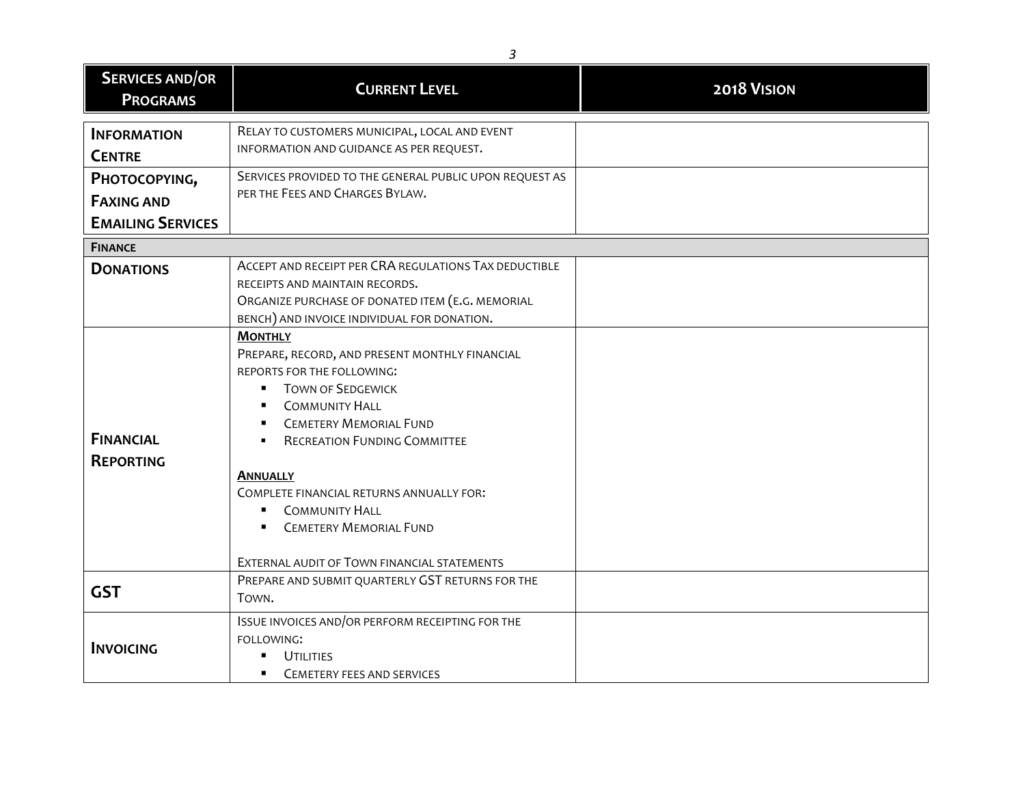| <b>SERVICES AND/OR</b><br><b>PROGRAMS</b>            | <b>CURRENT LEVEL</b>                                                                                                                                                                                                                                                                                                                                                                                                                                           | 2018 VISION |
|------------------------------------------------------|----------------------------------------------------------------------------------------------------------------------------------------------------------------------------------------------------------------------------------------------------------------------------------------------------------------------------------------------------------------------------------------------------------------------------------------------------------------|-------------|
| <b>INFORMATION</b><br><b>CENTRE</b><br>PHOTOCOPYING, | RELAY TO CUSTOMERS MUNICIPAL, LOCAL AND EVENT<br>INFORMATION AND GUIDANCE AS PER REQUEST.<br>SERVICES PROVIDED TO THE GENERAL PUBLIC UPON REQUEST AS                                                                                                                                                                                                                                                                                                           |             |
| <b>FAXING AND</b><br><b>EMAILING SERVICES</b>        | PER THE FEES AND CHARGES BYLAW.                                                                                                                                                                                                                                                                                                                                                                                                                                |             |
| <b>FINANCE</b>                                       |                                                                                                                                                                                                                                                                                                                                                                                                                                                                |             |
| <b>DONATIONS</b>                                     | ACCEPT AND RECEIPT PER CRA REGULATIONS TAX DEDUCTIBLE<br>RECEIPTS AND MAINTAIN RECORDS.<br>ORGANIZE PURCHASE OF DONATED ITEM (E.G. MEMORIAL<br>BENCH) AND INVOICE INDIVIDUAL FOR DONATION.                                                                                                                                                                                                                                                                     |             |
| <b>FINANCIAL</b><br><b>REPORTING</b>                 | <b>MONTHLY</b><br>PREPARE, RECORD, AND PRESENT MONTHLY FINANCIAL<br>REPORTS FOR THE FOLLOWING:<br><b>TOWN OF SEDGEWICK</b><br>$\blacksquare$<br><b>COMMUNITY HALL</b><br><b>CEMETERY MEMORIAL FUND</b><br><b>RECREATION FUNDING COMMITTEE</b><br>$\blacksquare$<br><b>ANNUALLY</b><br>COMPLETE FINANCIAL RETURNS ANNUALLY FOR:<br><b>COMMUNITY HALL</b><br>$\blacksquare$<br><b>CEMETERY MEMORIAL FUND</b><br>Ξ<br>EXTERNAL AUDIT OF TOWN FINANCIAL STATEMENTS |             |
| <b>GST</b>                                           | PREPARE AND SUBMIT QUARTERLY GST RETURNS FOR THE<br>TOWN.                                                                                                                                                                                                                                                                                                                                                                                                      |             |
| <b>INVOICING</b>                                     | ISSUE INVOICES AND/OR PERFORM RECEIPTING FOR THE<br>FOLLOWING:<br><b>UTILITIES</b><br>٠<br><b>CEMETERY FEES AND SERVICES</b><br>. .                                                                                                                                                                                                                                                                                                                            |             |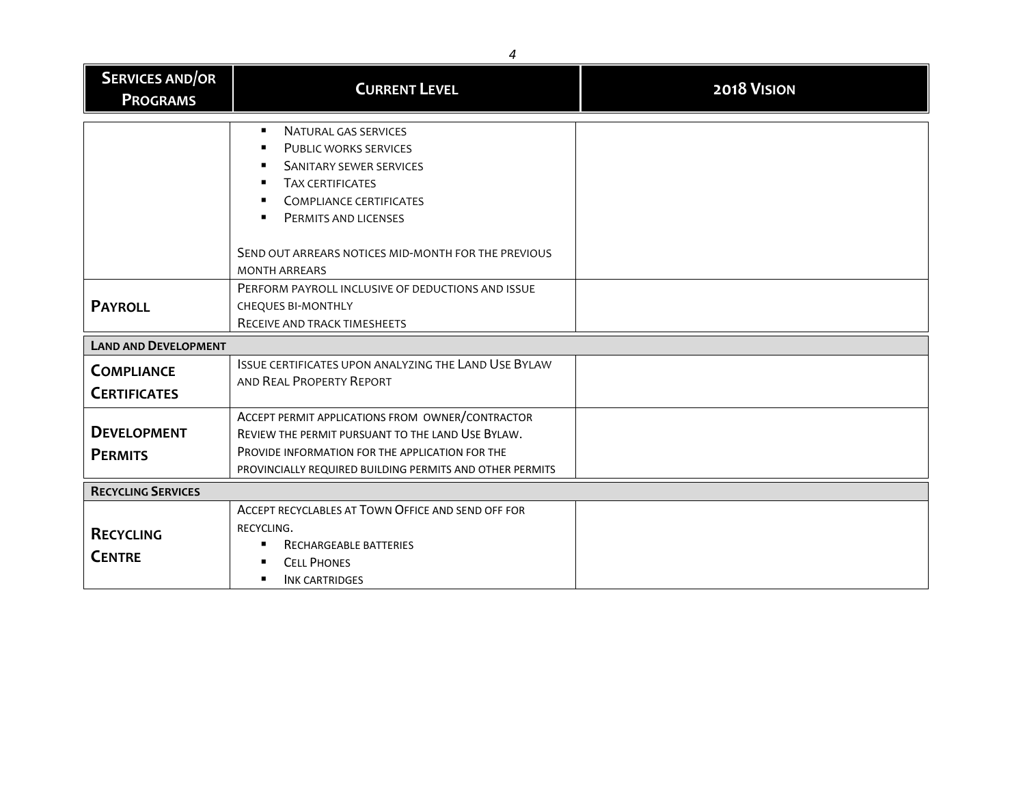| <b>SERVICES AND/OR</b><br><b>PROGRAMS</b> | <b>CURRENT LEVEL</b>                                                                                                                                                                                                                                                | 2018 VISION |
|-------------------------------------------|---------------------------------------------------------------------------------------------------------------------------------------------------------------------------------------------------------------------------------------------------------------------|-------------|
|                                           | NATURAL GAS SERVICES<br>$\blacksquare$<br>PUBLIC WORKS SERVICES<br>SANITARY SEWER SERVICES<br><b>TAX CERTIFICATES</b><br><b>COMPLIANCE CERTIFICATES</b><br>PERMITS AND LICENSES<br>٠<br>SEND OUT ARREARS NOTICES MID-MONTH FOR THE PREVIOUS<br><b>MONTH ARREARS</b> |             |
| <b>PAYROLL</b>                            | PERFORM PAYROLL INCLUSIVE OF DEDUCTIONS AND ISSUE<br><b>CHEQUES BI-MONTHLY</b><br>RECEIVE AND TRACK TIMESHEETS                                                                                                                                                      |             |
| <b>LAND AND DEVELOPMENT</b>               |                                                                                                                                                                                                                                                                     |             |
| <b>COMPLIANCE</b><br><b>CERTIFICATES</b>  | <b>ISSUE CERTIFICATES UPON ANALYZING THE LAND USE BYLAW</b><br>AND REAL PROPERTY REPORT                                                                                                                                                                             |             |
| <b>DEVELOPMENT</b><br><b>PERMITS</b>      | ACCEPT PERMIT APPLICATIONS FROM OWNER/CONTRACTOR<br>REVIEW THE PERMIT PURSUANT TO THE LAND USE BYLAW.<br>PROVIDE INFORMATION FOR THE APPLICATION FOR THE<br>PROVINCIALLY REQUIRED BUILDING PERMITS AND OTHER PERMITS                                                |             |
| <b>RECYCLING SERVICES</b>                 |                                                                                                                                                                                                                                                                     |             |
| <b>RECYCLING</b><br><b>CENTRE</b>         | ACCEPT RECYCLABLES AT TOWN OFFICE AND SEND OFF FOR<br>RECYCLING.<br>RECHARGEABLE BATTERIES<br><b>CELL PHONES</b><br><b>INK CARTRIDGES</b>                                                                                                                           |             |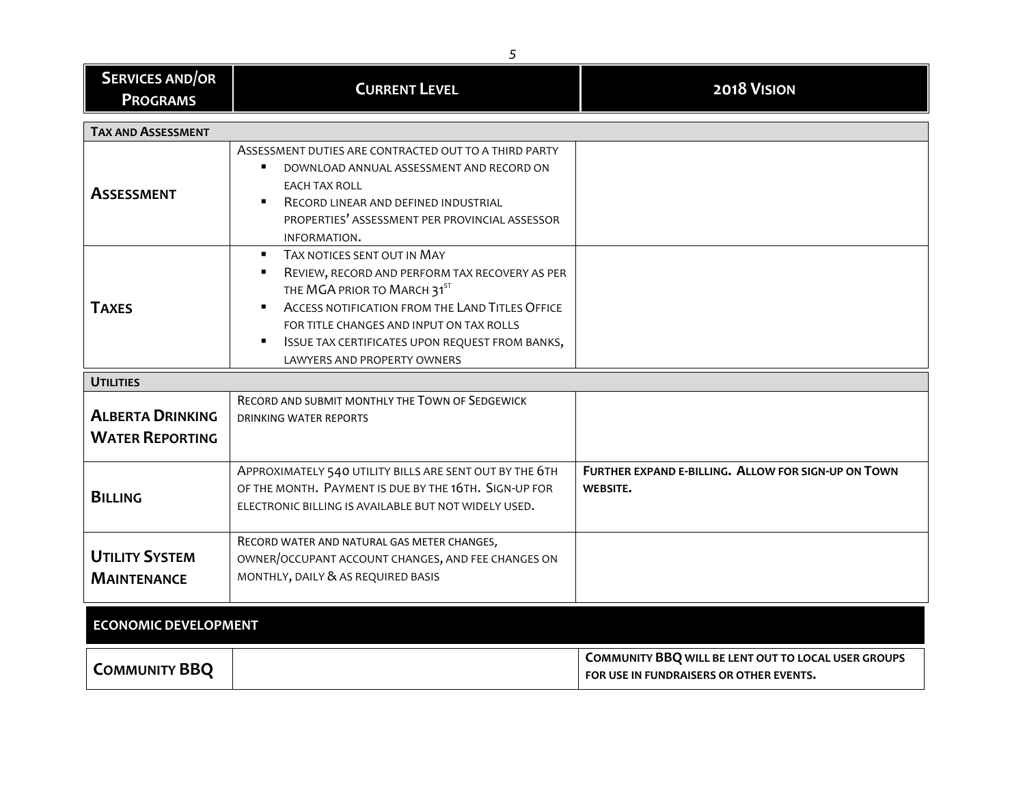| 5                                                 |                                                                                                                                                                                                                                                                                               |                                                                                                |
|---------------------------------------------------|-----------------------------------------------------------------------------------------------------------------------------------------------------------------------------------------------------------------------------------------------------------------------------------------------|------------------------------------------------------------------------------------------------|
| <b>SERVICES AND/OR</b><br><b>PROGRAMS</b>         | <b>CURRENT LEVEL</b>                                                                                                                                                                                                                                                                          | 2018 VISION                                                                                    |
| <b>TAX AND ASSESSMENT</b>                         |                                                                                                                                                                                                                                                                                               |                                                                                                |
| <b>ASSESSMENT</b>                                 | ASSESSMENT DUTIES ARE CONTRACTED OUT TO A THIRD PARTY<br>DOWNLOAD ANNUAL ASSESSMENT AND RECORD ON<br><b>EACH TAX ROLL</b><br>RECORD LINEAR AND DEFINED INDUSTRIAL<br>PROPERTIES' ASSESSMENT PER PROVINCIAL ASSESSOR<br>INFORMATION.                                                           |                                                                                                |
| <b>TAXES</b>                                      | TAX NOTICES SENT OUT IN MAY<br>REVIEW, RECORD AND PERFORM TAX RECOVERY AS PER<br>THE MGA PRIOR TO MARCH 31ST<br>ACCESS NOTIFICATION FROM THE LAND TITLES OFFICE<br>FOR TITLE CHANGES AND INPUT ON TAX ROLLS<br>ISSUE TAX CERTIFICATES UPON REQUEST FROM BANKS,<br>LAWYERS AND PROPERTY OWNERS |                                                                                                |
| <b>UTILITIES</b>                                  |                                                                                                                                                                                                                                                                                               |                                                                                                |
| <b>ALBERTA DRINKING</b><br><b>WATER REPORTING</b> | RECORD AND SUBMIT MONTHLY THE TOWN OF SEDGEWICK<br><b>DRINKING WATER REPORTS</b>                                                                                                                                                                                                              |                                                                                                |
| <b>BILLING</b>                                    | APPROXIMATELY 540 UTILITY BILLS ARE SENT OUT BY THE 6TH<br>OF THE MONTH. PAYMENT IS DUE BY THE 16TH. SIGN-UP FOR<br>ELECTRONIC BILLING IS AVAILABLE BUT NOT WIDELY USED.                                                                                                                      | FURTHER EXPAND E-BILLING. ALLOW FOR SIGN-UP ON TOWN<br><b>WEBSITE.</b>                         |
| <b>UTILITY SYSTEM</b><br><b>MAINTENANCE</b>       | RECORD WATER AND NATURAL GAS METER CHANGES,<br>OWNER/OCCUPANT ACCOUNT CHANGES, AND FEE CHANGES ON<br>MONTHLY, DAILY & AS REQUIRED BASIS                                                                                                                                                       |                                                                                                |
| <b>ECONOMIC DEVELOPMENT</b>                       |                                                                                                                                                                                                                                                                                               |                                                                                                |
| <b>COMMUNITY BBQ</b>                              |                                                                                                                                                                                                                                                                                               | COMMUNITY BBQ WILL BE LENT OUT TO LOCAL USER GROUPS<br>FOR USE IN FUNDRAISERS OR OTHER EVENTS. |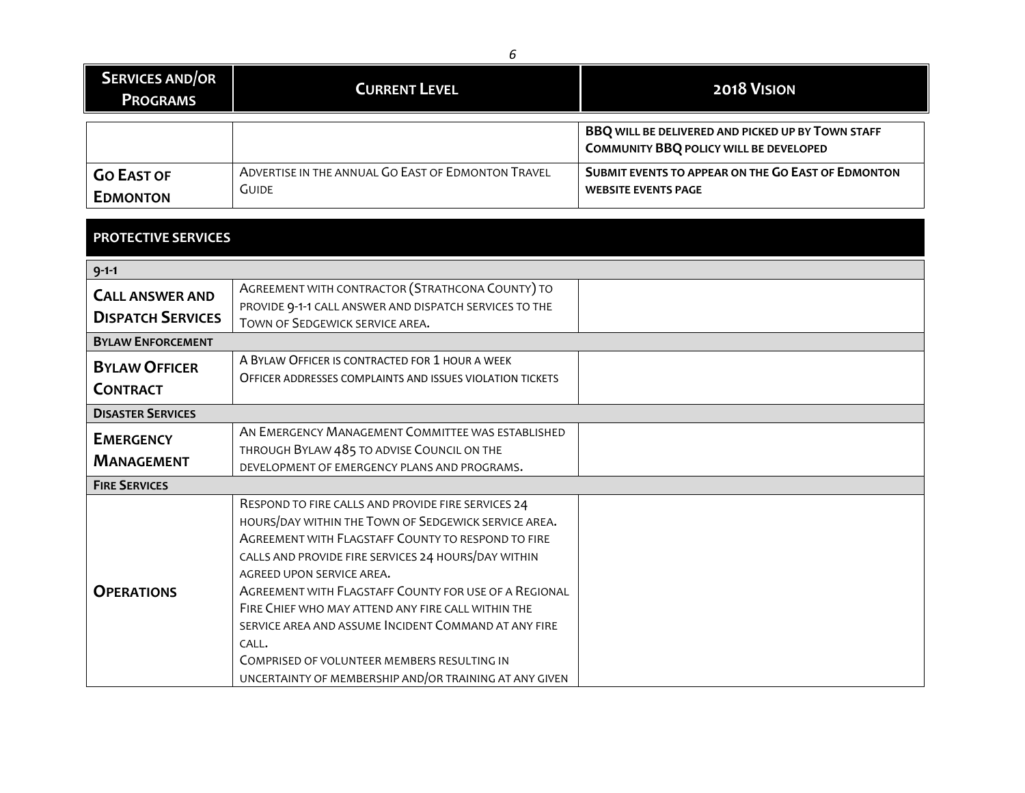| <b>SERVICES AND/OR</b><br><b>PROGRAMS</b> | <b>CURRENT LEVEL</b>                                               | <b>2018 VISION</b>                                                                                 |
|-------------------------------------------|--------------------------------------------------------------------|----------------------------------------------------------------------------------------------------|
|                                           |                                                                    | BBQ WILL BE DELIVERED AND PICKED UP BY TOWN STAFF<br><b>COMMUNITY BBQ POLICY WILL BE DEVELOPED</b> |
| <b>GO EAST OF</b><br><b>EDMONTON</b>      | ADVERTISE IN THE ANNUAL GO EAST OF EDMONTON TRAVEL<br><b>GUIDE</b> | SUBMIT EVENTS TO APPEAR ON THE GO EAST OF EDMONTON<br><b>WEBSITE EVENTS PAGE</b>                   |

## **PROTECTIVE SERVICES**

| $9 - 1 - 1$              |                                                                                                            |  |
|--------------------------|------------------------------------------------------------------------------------------------------------|--|
| <b>CALL ANSWER AND</b>   | AGREEMENT WITH CONTRACTOR (STRATHCONA COUNTY) TO<br>PROVIDE 9-1-1 CALL ANSWER AND DISPATCH SERVICES TO THE |  |
| <b>DISPATCH SERVICES</b> | TOWN OF SEDGEWICK SERVICE AREA.                                                                            |  |
| <b>BYLAW ENFORCEMENT</b> |                                                                                                            |  |
| <b>BYLAW OFFICER</b>     | A BYLAW OFFICER IS CONTRACTED FOR 1 HOUR A WEEK                                                            |  |
| <b>CONTRACT</b>          | OFFICER ADDRESSES COMPLAINTS AND ISSUES VIOLATION TICKETS                                                  |  |
|                          |                                                                                                            |  |
| <b>DISASTER SERVICES</b> |                                                                                                            |  |
| <b>EMERGENCY</b>         | AN EMERGENCY MANAGEMENT COMMITTEE WAS ESTABLISHED                                                          |  |
| <b>MANAGEMENT</b>        | THROUGH BYLAW 485 TO ADVISE COUNCIL ON THE                                                                 |  |
|                          | DEVELOPMENT OF EMERGENCY PLANS AND PROGRAMS.                                                               |  |
| <b>FIRE SERVICES</b>     |                                                                                                            |  |
|                          | RESPOND TO FIRE CALLS AND PROVIDE FIRE SERVICES 24                                                         |  |
|                          | HOURS/DAY WITHIN THE TOWN OF SEDGEWICK SERVICE AREA.                                                       |  |
|                          | AGREEMENT WITH FLAGSTAFF COUNTY TO RESPOND TO FIRE                                                         |  |
|                          | CALLS AND PROVIDE FIRE SERVICES 24 HOURS/DAY WITHIN                                                        |  |
|                          | AGREED UPON SERVICE AREA.                                                                                  |  |
| <b>OPERATIONS</b>        | AGREEMENT WITH FLAGSTAFF COUNTY FOR USE OF A REGIONAL                                                      |  |
|                          | FIRE CHIEF WHO MAY ATTEND ANY FIRE CALL WITHIN THE                                                         |  |
|                          | SERVICE AREA AND ASSUME INCIDENT COMMAND AT ANY FIRE                                                       |  |
|                          | $CAI$ .                                                                                                    |  |
|                          | COMPRISED OF VOLUNTEER MEMBERS RESULTING IN                                                                |  |
|                          | UNCERTAINTY OF MEMBERSHIP AND/OR TRAINING AT ANY GIVEN                                                     |  |

*6*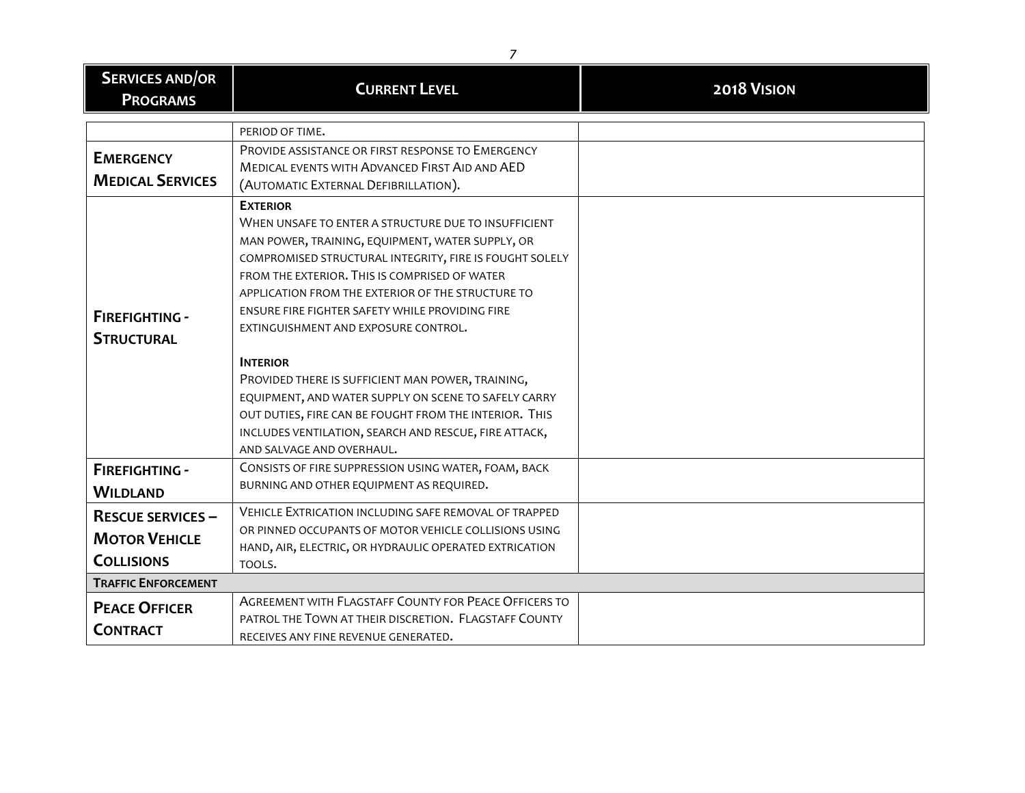| <b>SERVICES AND/OR</b><br><b>PROGRAMS</b>                             | <b>CURRENT LEVEL</b>                                                                                                                                                                                                                                                                                                                                                                                                                                                                                                                                                                                                                                                    | 2018 VISION |
|-----------------------------------------------------------------------|-------------------------------------------------------------------------------------------------------------------------------------------------------------------------------------------------------------------------------------------------------------------------------------------------------------------------------------------------------------------------------------------------------------------------------------------------------------------------------------------------------------------------------------------------------------------------------------------------------------------------------------------------------------------------|-------------|
|                                                                       | PERIOD OF TIME.                                                                                                                                                                                                                                                                                                                                                                                                                                                                                                                                                                                                                                                         |             |
| <b>EMERGENCY</b><br><b>MEDICAL SERVICES</b>                           | PROVIDE ASSISTANCE OR FIRST RESPONSE TO EMERGENCY<br>MEDICAL EVENTS WITH ADVANCED FIRST AID AND AED<br>(AUTOMATIC EXTERNAL DEFIBRILLATION).                                                                                                                                                                                                                                                                                                                                                                                                                                                                                                                             |             |
| <b>FIREFIGHTING -</b><br><b>STRUCTURAL</b>                            | <b>EXTERIOR</b><br>WHEN UNSAFE TO ENTER A STRUCTURE DUE TO INSUFFICIENT<br>MAN POWER, TRAINING, EQUIPMENT, WATER SUPPLY, OR<br>COMPROMISED STRUCTURAL INTEGRITY, FIRE IS FOUGHT SOLELY<br>FROM THE EXTERIOR. THIS IS COMPRISED OF WATER<br>APPLICATION FROM THE EXTERIOR OF THE STRUCTURE TO<br>ENSURE FIRE FIGHTER SAFETY WHILE PROVIDING FIRE<br>EXTINGUISHMENT AND EXPOSURE CONTROL.<br><b>INTERIOR</b><br>PROVIDED THERE IS SUFFICIENT MAN POWER, TRAINING,<br>EQUIPMENT, AND WATER SUPPLY ON SCENE TO SAFELY CARRY<br>OUT DUTIES, FIRE CAN BE FOUGHT FROM THE INTERIOR. THIS<br>INCLUDES VENTILATION, SEARCH AND RESCUE, FIRE ATTACK,<br>AND SALVAGE AND OVERHAUL. |             |
| <b>FIREFIGHTING -</b>                                                 | CONSISTS OF FIRE SUPPRESSION USING WATER, FOAM, BACK                                                                                                                                                                                                                                                                                                                                                                                                                                                                                                                                                                                                                    |             |
| <b>WILDLAND</b>                                                       | BURNING AND OTHER EQUIPMENT AS REQUIRED.                                                                                                                                                                                                                                                                                                                                                                                                                                                                                                                                                                                                                                |             |
| <b>RESCUE SERVICES -</b><br><b>MOTOR VEHICLE</b><br><b>COLLISIONS</b> | <b>VEHICLE EXTRICATION INCLUDING SAFE REMOVAL OF TRAPPED</b><br>OR PINNED OCCUPANTS OF MOTOR VEHICLE COLLISIONS USING<br>HAND, AIR, ELECTRIC, OR HYDRAULIC OPERATED EXTRICATION<br>TOOLS.                                                                                                                                                                                                                                                                                                                                                                                                                                                                               |             |
| <b>TRAFFIC ENFORCEMENT</b>                                            |                                                                                                                                                                                                                                                                                                                                                                                                                                                                                                                                                                                                                                                                         |             |
| <b>PEACE OFFICER</b><br><b>CONTRACT</b>                               | AGREEMENT WITH FLAGSTAFF COUNTY FOR PEACE OFFICERS TO<br>PATROL THE TOWN AT THEIR DISCRETION. FLAGSTAFF COUNTY<br>RECEIVES ANY FINE REVENUE GENERATED.                                                                                                                                                                                                                                                                                                                                                                                                                                                                                                                  |             |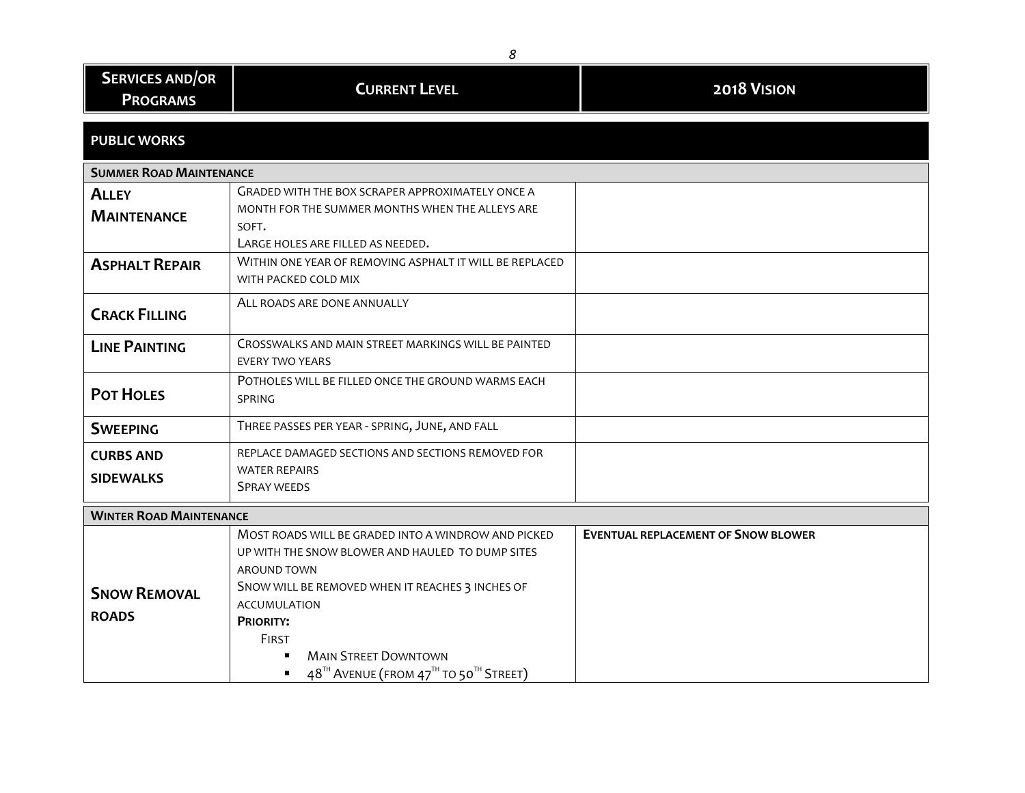| 8                                         |                                                                                                                                                                                                                                                                                                                                                                                        |                                            |
|-------------------------------------------|----------------------------------------------------------------------------------------------------------------------------------------------------------------------------------------------------------------------------------------------------------------------------------------------------------------------------------------------------------------------------------------|--------------------------------------------|
| <b>SERVICES AND/OR</b><br><b>PROGRAMS</b> | <b>CURRENT LEVEL</b>                                                                                                                                                                                                                                                                                                                                                                   | 2018 VISION                                |
| <b>PUBLIC WORKS</b>                       |                                                                                                                                                                                                                                                                                                                                                                                        |                                            |
| <b>SUMMER ROAD MAINTENANCE</b>            |                                                                                                                                                                                                                                                                                                                                                                                        |                                            |
| <b>ALLEY</b>                              | <b>GRADED WITH THE BOX SCRAPER APPROXIMATELY ONCE A</b>                                                                                                                                                                                                                                                                                                                                |                                            |
| <b>MAINTENANCE</b>                        | MONTH FOR THE SUMMER MONTHS WHEN THE ALLEYS ARE<br>SOFT.<br>LARGE HOLES ARE FILLED AS NEEDED.                                                                                                                                                                                                                                                                                          |                                            |
| <b>ASPHALT REPAIR</b>                     | WITHIN ONE YEAR OF REMOVING ASPHALT IT WILL BE REPLACED<br>WITH PACKED COLD MIX                                                                                                                                                                                                                                                                                                        |                                            |
| <b>CRACK FILLING</b>                      | ALL ROADS ARE DONE ANNUALLY                                                                                                                                                                                                                                                                                                                                                            |                                            |
| <b>LINE PAINTING</b>                      | CROSSWALKS AND MAIN STREET MARKINGS WILL BE PAINTED<br>EVERY TWO YEARS                                                                                                                                                                                                                                                                                                                 |                                            |
| <b>POT HOLES</b>                          | POTHOLES WILL BE FILLED ONCE THE GROUND WARMS EACH<br><b>SPRING</b>                                                                                                                                                                                                                                                                                                                    |                                            |
| <b>SWEEPING</b>                           | THREE PASSES PER YEAR - SPRING, JUNE, AND FALL                                                                                                                                                                                                                                                                                                                                         |                                            |
| <b>CURBS AND</b><br><b>SIDEWALKS</b>      | REPLACE DAMAGED SECTIONS AND SECTIONS REMOVED FOR<br><b>WATER REPAIRS</b><br><b>SPRAY WEEDS</b>                                                                                                                                                                                                                                                                                        |                                            |
| <b>WINTER ROAD MAINTENANCE</b>            |                                                                                                                                                                                                                                                                                                                                                                                        |                                            |
| <b>SNOW REMOVAL</b><br><b>ROADS</b>       | MOST ROADS WILL BE GRADED INTO A WINDROW AND PICKED<br>UP WITH THE SNOW BLOWER AND HAULED TO DUMP SITES<br>AROUND TOWN<br>SNOW WILL BE REMOVED WHEN IT REACHES 3 INCHES OF<br><b>ACCUMULATION</b><br><b>PRIORITY:</b><br><b>FIRST</b><br><b>MAIN STREET DOWNTOWN</b><br>$\blacksquare$<br>48 <sup>TH</sup> AVENUE (FROM 47 <sup>TH</sup> TO 50 <sup>TH</sup> STREET)<br>$\blacksquare$ | <b>EVENTUAL REPLACEMENT OF SNOW BLOWER</b> |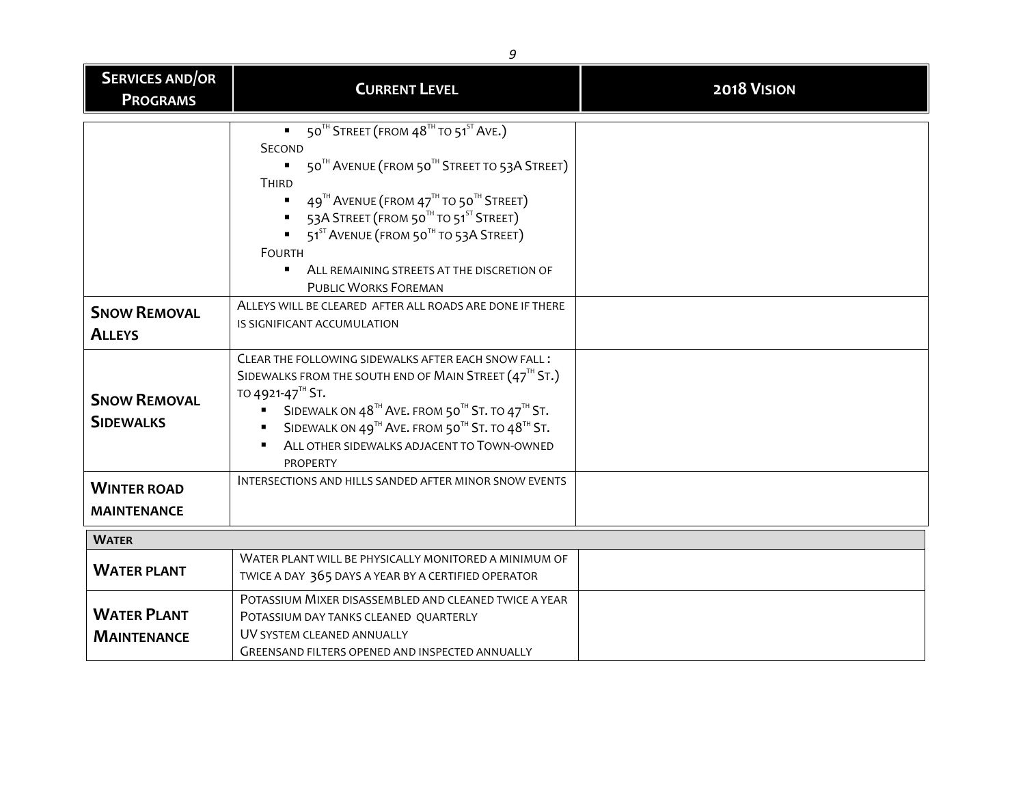| <b>SERVICES AND/OR</b><br><b>PROGRAMS</b> | <b>CURRENT LEVEL</b>                                                                                                                                                                                                                                                                                                                                                                                                              | 2018 VISION |
|-------------------------------------------|-----------------------------------------------------------------------------------------------------------------------------------------------------------------------------------------------------------------------------------------------------------------------------------------------------------------------------------------------------------------------------------------------------------------------------------|-------------|
|                                           | 50 <sup>TH</sup> STREET (FROM 48 <sup>TH</sup> TO 51 <sup>ST</sup> AVE.)<br><b>SECOND</b><br>50TH AVENUE (FROM 50TH STREET TO 53A STREET)<br>THIRD<br>$49^{\text{th}}$ AVENUE (FROM $47^{\text{th}}$ TO 50 <sup>th</sup> STREET)<br>53A STREET (FROM 50TH TO 51ST STREET)<br>51 <sup>ST</sup> AVENUE (FROM 50 <sup>TH</sup> TO 53A STREET)<br><b>FOURTH</b><br>ALL REMAINING STREETS AT THE DISCRETION OF<br>PUBLIC WORKS FOREMAN |             |
| <b>SNOW REMOVAL</b><br><b>ALLEYS</b>      | ALLEYS WILL BE CLEARED AFTER ALL ROADS ARE DONE IF THERE<br>IS SIGNIFICANT ACCUMULATION                                                                                                                                                                                                                                                                                                                                           |             |
| <b>SNOW REMOVAL</b><br><b>SIDEWALKS</b>   | CLEAR THE FOLLOWING SIDEWALKS AFTER EACH SNOW FALL:<br>SIDEWALKS FROM THE SOUTH END OF MAIN STREET $(47^{th}$ ST.)<br>TO 4921-47 <sup>TH</sup> ST.<br>SIDEWALK ON 48 <sup>TH</sup> AVE. FROM 50 <sup>TH</sup> ST. TO 47 <sup>TH</sup> ST.<br>$\blacksquare$<br>SIDEWALK ON 49 <sup>TH</sup> AVE. FROM 50 <sup>TH</sup> ST. TO 48 <sup>TH</sup> ST.<br>ALL OTHER SIDEWALKS ADJACENT TO TOWN-OWNED<br>PROPERTY                      |             |
| <b>WINTER ROAD</b><br><b>MAINTENANCE</b>  | INTERSECTIONS AND HILLS SANDED AFTER MINOR SNOW EVENTS                                                                                                                                                                                                                                                                                                                                                                            |             |
| <b>WATER</b>                              |                                                                                                                                                                                                                                                                                                                                                                                                                                   |             |
| <b>WATER PLANT</b>                        | WATER PLANT WILL BE PHYSICALLY MONITORED A MINIMUM OF<br>TWICE A DAY 365 DAYS A YEAR BY A CERTIFIED OPERATOR                                                                                                                                                                                                                                                                                                                      |             |
| <b>WATER PLANT</b><br><b>MAINTENANCE</b>  | POTASSIUM MIXER DISASSEMBLED AND CLEANED TWICE A YEAR<br>POTASSIUM DAY TANKS CLEANED QUARTERLY<br>UV SYSTEM CLEANED ANNUALLY<br>GREENSAND FILTERS OPENED AND INSPECTED ANNUALLY                                                                                                                                                                                                                                                   |             |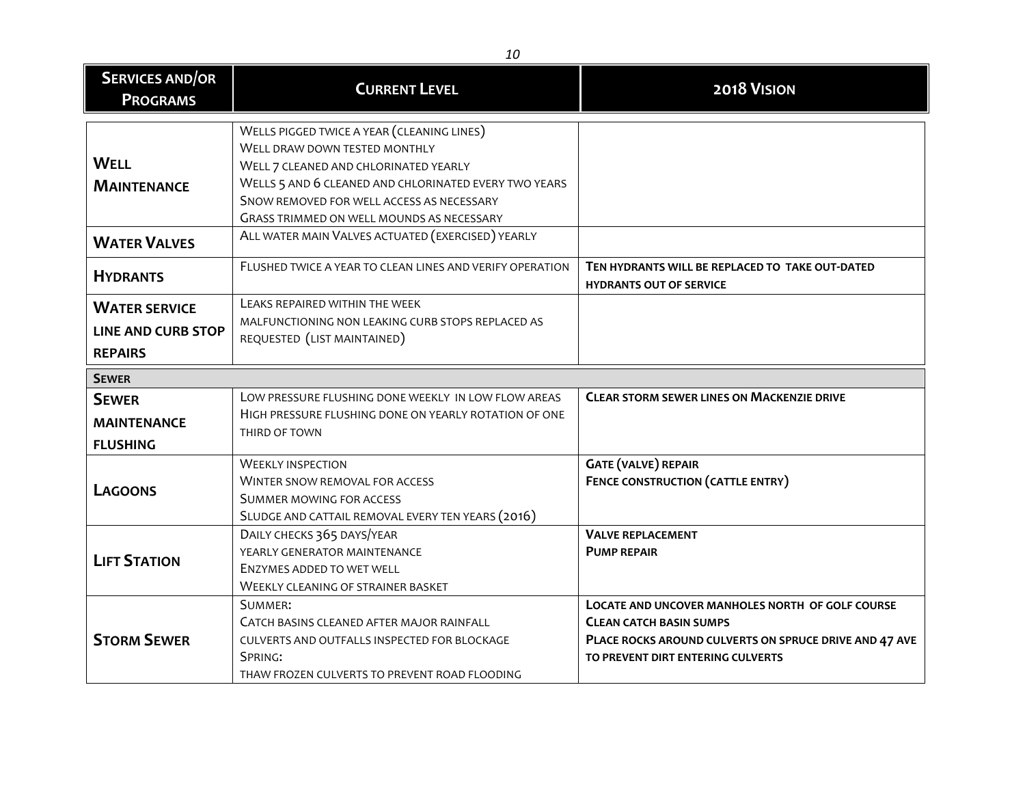| <b>SERVICES AND/OR</b><br><b>PROGRAMS</b>                           | <b>CURRENT LEVEL</b>                                                                                                                                                                                                                                                                                                                | 2018 VISION                                                                                                                                                                       |
|---------------------------------------------------------------------|-------------------------------------------------------------------------------------------------------------------------------------------------------------------------------------------------------------------------------------------------------------------------------------------------------------------------------------|-----------------------------------------------------------------------------------------------------------------------------------------------------------------------------------|
| <b>WELL</b><br><b>MAINTENANCE</b><br><b>WATER VALVES</b>            | WELLS PIGGED TWICE A YEAR (CLEANING LINES)<br>WELL DRAW DOWN TESTED MONTHLY<br>WELL 7 CLEANED AND CHLORINATED YEARLY<br>WELLS 5 AND 6 CLEANED AND CHLORINATED EVERY TWO YEARS<br>SNOW REMOVED FOR WELL ACCESS AS NECESSARY<br><b>GRASS TRIMMED ON WELL MOUNDS AS NECESSARY</b><br>ALL WATER MAIN VALVES ACTUATED (EXERCISED) YEARLY |                                                                                                                                                                                   |
| <b>HYDRANTS</b>                                                     | FLUSHED TWICE A YEAR TO CLEAN LINES AND VERIFY OPERATION                                                                                                                                                                                                                                                                            | TEN HYDRANTS WILL BE REPLACED TO TAKE OUT-DATED<br><b>HYDRANTS OUT OF SERVICE</b>                                                                                                 |
| <b>WATER SERVICE</b><br><b>LINE AND CURB STOP</b><br><b>REPAIRS</b> | LEAKS REPAIRED WITHIN THE WEEK<br>MALFUNCTIONING NON LEAKING CURB STOPS REPLACED AS<br>REQUESTED (LIST MAINTAINED)                                                                                                                                                                                                                  |                                                                                                                                                                                   |
| <b>SEWER</b>                                                        |                                                                                                                                                                                                                                                                                                                                     |                                                                                                                                                                                   |
| <b>SEWER</b><br><b>MAINTENANCE</b><br><b>FLUSHING</b>               | LOW PRESSURE FLUSHING DONE WEEKLY IN LOW FLOW AREAS<br>HIGH PRESSURE FLUSHING DONE ON YEARLY ROTATION OF ONE<br>THIRD OF TOWN                                                                                                                                                                                                       | <b>CLEAR STORM SEWER LINES ON MACKENZIE DRIVE</b>                                                                                                                                 |
| <b>LAGOONS</b>                                                      | <b>WEEKLY INSPECTION</b><br><b>WINTER SNOW REMOVAL FOR ACCESS</b><br>SUMMER MOWING FOR ACCESS<br>SLUDGE AND CATTAIL REMOVAL EVERY TEN YEARS (2016)                                                                                                                                                                                  | <b>GATE (VALVE) REPAIR</b><br><b>FENCE CONSTRUCTION (CATTLE ENTRY)</b>                                                                                                            |
| <b>LIFT STATION</b>                                                 | DAILY CHECKS 365 DAYS/YEAR<br>YEARLY GENERATOR MAINTENANCE<br>ENZYMES ADDED TO WET WELL<br><b>WEEKLY CLEANING OF STRAINER BASKET</b>                                                                                                                                                                                                | <b>VALVE REPLACEMENT</b><br><b>PUMP REPAIR</b>                                                                                                                                    |
| <b>STORM SEWER</b>                                                  | SUMMER:<br>CATCH BASINS CLEANED AFTER MAJOR RAINFALL<br>CULVERTS AND OUTFALLS INSPECTED FOR BLOCKAGE<br>SPRING:<br>THAW FROZEN CULVERTS TO PREVENT ROAD FLOODING                                                                                                                                                                    | LOCATE AND UNCOVER MANHOLES NORTH OF GOLF COURSE<br><b>CLEAN CATCH BASIN SUMPS</b><br>PLACE ROCKS AROUND CULVERTS ON SPRUCE DRIVE AND 47 AVE<br>TO PREVENT DIRT ENTERING CULVERTS |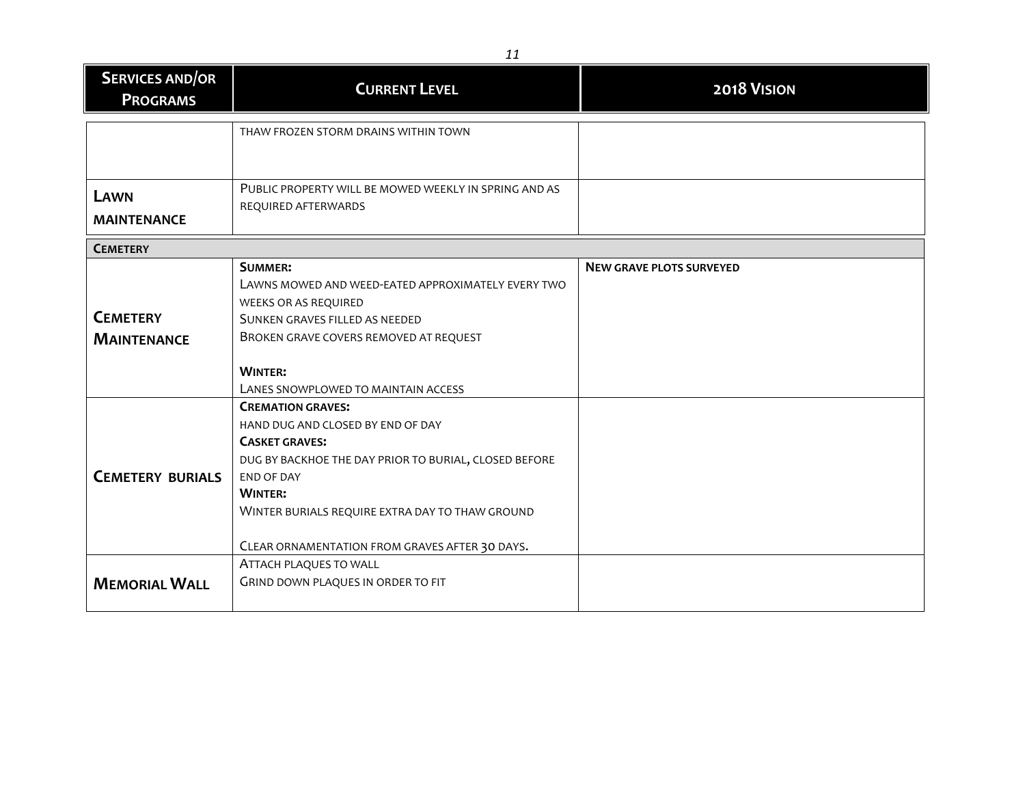| <b>SERVICES AND/OR</b><br><b>PROGRAMS</b> | <b>CURRENT LEVEL</b>                                  | 2018 VISION                     |
|-------------------------------------------|-------------------------------------------------------|---------------------------------|
|                                           | THAW FROZEN STORM DRAINS WITHIN TOWN                  |                                 |
|                                           |                                                       |                                 |
|                                           |                                                       |                                 |
| LAWN                                      | PUBLIC PROPERTY WILL BE MOWED WEEKLY IN SPRING AND AS |                                 |
| <b>MAINTENANCE</b>                        | REQUIRED AFTERWARDS                                   |                                 |
| <b>CEMETERY</b>                           |                                                       |                                 |
|                                           | <b>SUMMER:</b>                                        | <b>NEW GRAVE PLOTS SURVEYED</b> |
|                                           | LAWNS MOWED AND WEED-EATED APPROXIMATELY EVERY TWO    |                                 |
|                                           | WEEKS OR AS REQUIRED                                  |                                 |
| <b>CEMETERY</b>                           | SUNKEN GRAVES FILLED AS NEEDED                        |                                 |
| <b>MAINTENANCE</b>                        | BROKEN GRAVE COVERS REMOVED AT REQUEST                |                                 |
|                                           | <b>WINTER:</b>                                        |                                 |
|                                           | LANES SNOWPLOWED TO MAINTAIN ACCESS                   |                                 |
|                                           | <b>CREMATION GRAVES:</b>                              |                                 |
|                                           | HAND DUG AND CLOSED BY END OF DAY                     |                                 |
|                                           | <b>CASKET GRAVES:</b>                                 |                                 |
|                                           | DUG BY BACKHOE THE DAY PRIOR TO BURIAL, CLOSED BEFORE |                                 |
| <b>CEMETERY BURIALS</b>                   | <b>END OF DAY</b>                                     |                                 |
|                                           | <b>WINTER:</b>                                        |                                 |
|                                           | WINTER BURIALS REQUIRE EXTRA DAY TO THAW GROUND       |                                 |
|                                           |                                                       |                                 |
|                                           | CLEAR ORNAMENTATION FROM GRAVES AFTER 30 DAYS.        |                                 |
|                                           | ATTACH PLAQUES TO WALL                                |                                 |
| <b>MEMORIAL WALL</b>                      | GRIND DOWN PLAQUES IN ORDER TO FIT                    |                                 |
|                                           |                                                       |                                 |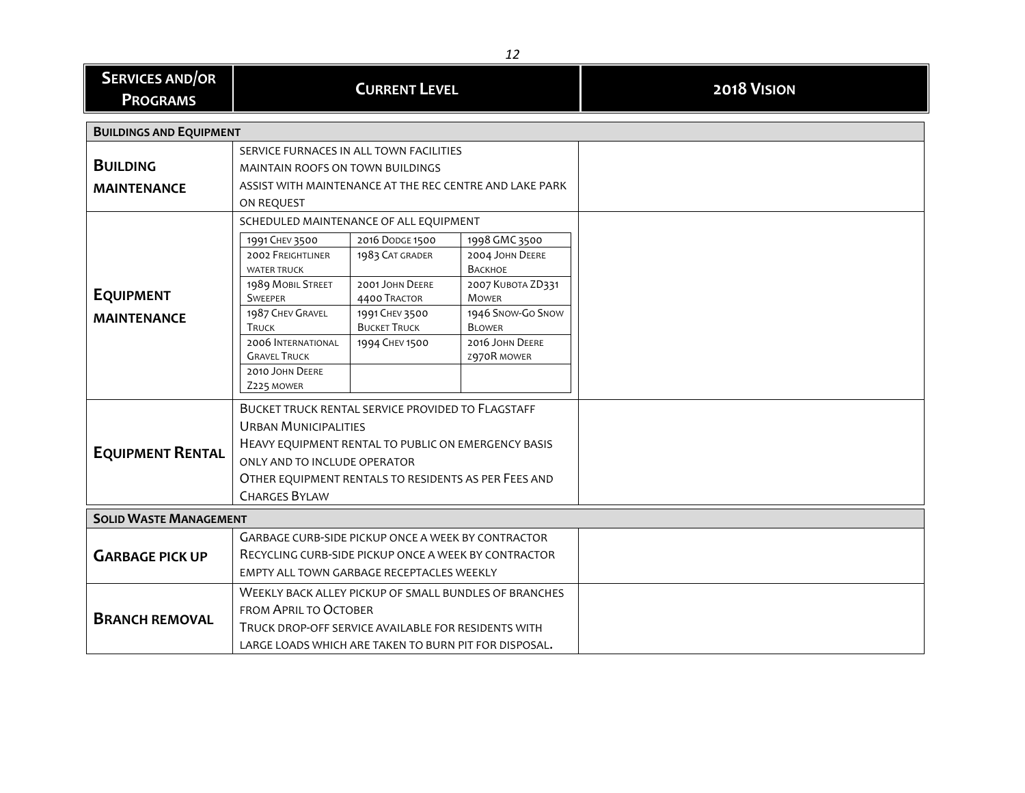| <b>SERVICES AND/OR</b><br><b>PROGRAMS</b> | <b>CURRENT LEVEL</b>                                                                                                                                                                                                                                    |                                                   |                                                        |  |  |
|-------------------------------------------|---------------------------------------------------------------------------------------------------------------------------------------------------------------------------------------------------------------------------------------------------------|---------------------------------------------------|--------------------------------------------------------|--|--|
| <b>BUILDINGS AND EQUIPMENT</b>            |                                                                                                                                                                                                                                                         |                                                   |                                                        |  |  |
| <b>BUILDING</b>                           | SERVICE FURNACES IN ALL TOWN FACILITIES<br><b>MAINTAIN ROOFS ON TOWN BUILDINGS</b>                                                                                                                                                                      |                                                   |                                                        |  |  |
| <b>MAINTENANCE</b>                        | ASSIST WITH MAINTENANCE AT THE REC CENTRE AND LAKE PARK<br>ON REQUEST                                                                                                                                                                                   |                                                   |                                                        |  |  |
|                                           | SCHEDULED MAINTENANCE OF ALL EQUIPMENT                                                                                                                                                                                                                  |                                                   |                                                        |  |  |
|                                           | 1991 CHEV 3500<br><b>2002 FREIGHTLINER</b><br><b>WATER TRUCK</b>                                                                                                                                                                                        | 2016 DODGE 1500<br>1983 CAT GRADER                | 1998 GMC 3500<br>2004 JOHN DEERE<br>ВАСКНОЕ            |  |  |
| <b>EQUIPMENT</b>                          | 1989 MOBIL STREET<br><b>SWEEPER</b><br>1987 CHEV GRAVEL                                                                                                                                                                                                 | 2001 JOHN DEERE<br>4400 TRACTOR<br>1991 CHEV 3500 | 2007 KUBOTA ZD331<br><b>MOWER</b><br>1946 SNOW-GO SNOW |  |  |
| <b>MAINTENANCE</b>                        | <b>TRUCK</b><br><b>2006 INTERNATIONAL</b><br><b>GRAVEL TRUCK</b><br>2010 JOHN DEERE<br>Z225 MOWER                                                                                                                                                       | <b>BUCKET TRUCK</b><br>1994 CHEV 1500             | <b>BLOWER</b><br>2016 JOHN DEERE<br>2970R MOWER        |  |  |
| <b>EQUIPMENT RENTAL</b>                   | BUCKET TRUCK RENTAL SERVICE PROVIDED TO FLAGSTAFF<br><b>URBAN MUNICIPALITIES</b><br>HEAVY EQUIPMENT RENTAL TO PUBLIC ON EMERGENCY BASIS<br>ONLY AND TO INCLUDE OPERATOR<br>OTHER EQUIPMENT RENTALS TO RESIDENTS AS PER FEES AND<br><b>CHARGES BYLAW</b> |                                                   |                                                        |  |  |
| <b>SOLID WASTE MANAGEMENT</b>             |                                                                                                                                                                                                                                                         |                                                   |                                                        |  |  |
| <b>GARBAGE PICK UP</b>                    | GARBAGE CURB-SIDE PICKUP ONCE A WEEK BY CONTRACTOR<br>RECYCLING CURB-SIDE PICKUP ONCE A WEEK BY CONTRACTOR<br>EMPTY ALL TOWN GARBAGE RECEPTACLES WEEKLY                                                                                                 |                                                   |                                                        |  |  |
| <b>BRANCH REMOVAL</b>                     | WEEKLY BACK ALLEY PICKUP OF SMALL BUNDLES OF BRANCHES<br>FROM APRIL TO OCTOBER<br>TRUCK DROP-OFF SERVICE AVAILABLE FOR RESIDENTS WITH<br>LARGE LOADS WHICH ARE TAKEN TO BURN PIT FOR DISPOSAL.                                                          |                                                   |                                                        |  |  |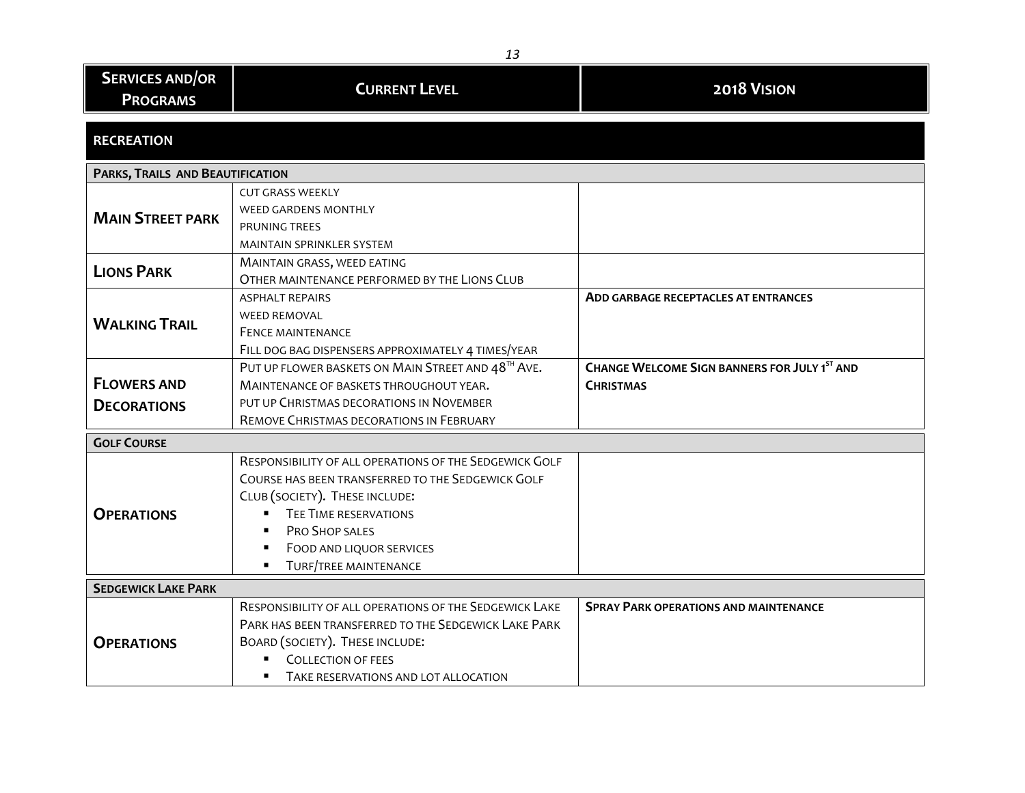| <b>SERVICES AND/OR</b>                   |                                                                                                                                                                                                                                                             |                                                                         |  |  |  |
|------------------------------------------|-------------------------------------------------------------------------------------------------------------------------------------------------------------------------------------------------------------------------------------------------------------|-------------------------------------------------------------------------|--|--|--|
| <b>PROGRAMS</b>                          | <b>CURRENT LEVEL</b>                                                                                                                                                                                                                                        | 2018 VISION                                                             |  |  |  |
| <b>RECREATION</b>                        |                                                                                                                                                                                                                                                             |                                                                         |  |  |  |
| PARKS, TRAILS AND BEAUTIFICATION         |                                                                                                                                                                                                                                                             |                                                                         |  |  |  |
| <b>MAIN STREET PARK</b>                  | <b>CUT GRASS WEEKLY</b><br><b>WEED GARDENS MONTHLY</b><br>PRUNING TREES<br><b>MAINTAIN SPRINKLER SYSTEM</b>                                                                                                                                                 |                                                                         |  |  |  |
| <b>LIONS PARK</b>                        | MAINTAIN GRASS, WEED EATING<br>OTHER MAINTENANCE PERFORMED BY THE LIONS CLUB                                                                                                                                                                                |                                                                         |  |  |  |
| <b>WALKING TRAIL</b>                     | <b>ASPHALT REPAIRS</b><br><b>WEED REMOVAL</b><br><b>FENCE MAINTENANCE</b><br>FILL DOG BAG DISPENSERS APPROXIMATELY 4 TIMES/YEAR                                                                                                                             | <b>ADD GARBAGE RECEPTACLES AT ENTRANCES</b>                             |  |  |  |
| <b>FLOWERS AND</b><br><b>DECORATIONS</b> | PUT UP FLOWER BASKETS ON MAIN STREET AND 48TH AVE.<br>MAINTENANCE OF BASKETS THROUGHOUT YEAR.<br>PUT UP CHRISTMAS DECORATIONS IN NOVEMBER<br>REMOVE CHRISTMAS DECORATIONS IN FEBRUARY                                                                       | <b>CHANGE WELCOME SIGN BANNERS FOR JULY 1ST AND</b><br><b>CHRISTMAS</b> |  |  |  |
| <b>GOLF COURSE</b>                       |                                                                                                                                                                                                                                                             |                                                                         |  |  |  |
| <b>OPERATIONS</b>                        | RESPONSIBILITY OF ALL OPERATIONS OF THE SEDGEWICK GOLF<br>COURSE HAS BEEN TRANSFERRED TO THE SEDGEWICK GOLF<br>CLUB (SOCIETY). THESE INCLUDE:<br><b>TEE TIME RESERVATIONS</b><br>PRO SHOP SALES<br>FOOD AND LIQUOR SERVICES<br><b>TURF/TREE MAINTENANCE</b> |                                                                         |  |  |  |
| <b>SEDGEWICK LAKE PARK</b>               |                                                                                                                                                                                                                                                             |                                                                         |  |  |  |
| <b>OPERATIONS</b>                        | RESPONSIBILITY OF ALL OPERATIONS OF THE SEDGEWICK LAKE<br>PARK HAS BEEN TRANSFERRED TO THE SEDGEWICK LAKE PARK<br>BOARD (SOCIETY). THESE INCLUDE:<br><b>COLLECTION OF FEES</b><br>TAKE RESERVATIONS AND LOT ALLOCATION                                      | <b>SPRAY PARK OPERATIONS AND MAINTENANCE</b>                            |  |  |  |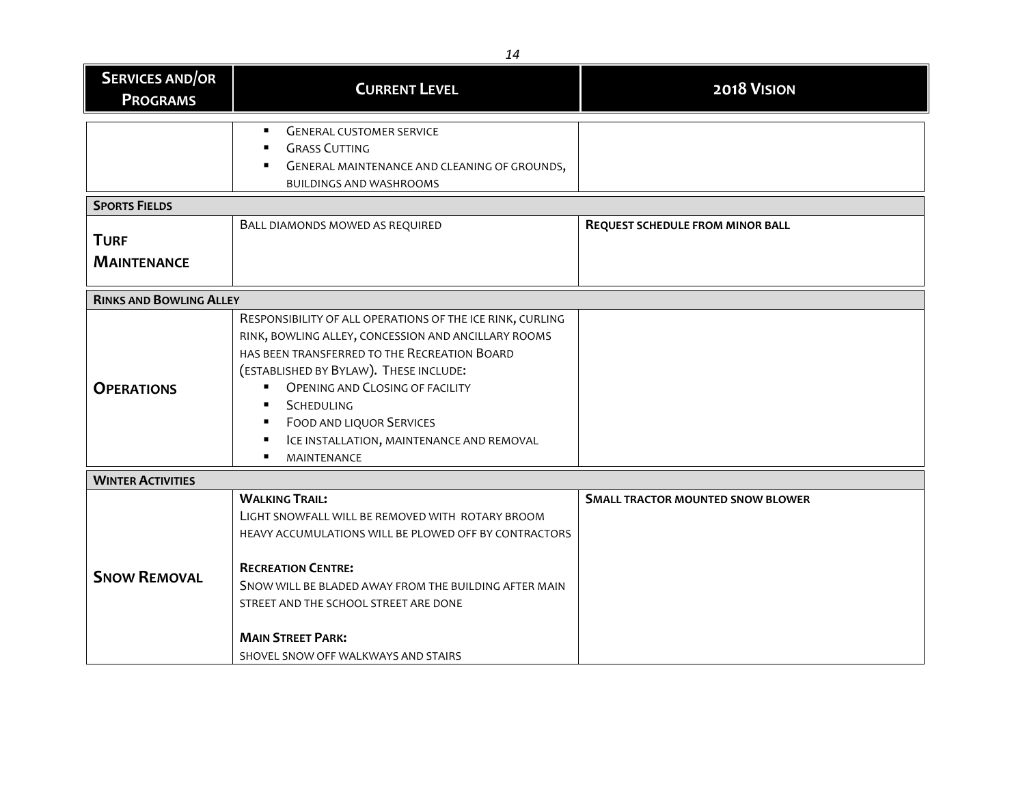| <b>SERVICES AND/OR</b>         | <b>CURRENT LEVEL</b>                                      | 2018 VISION                              |  |  |  |  |
|--------------------------------|-----------------------------------------------------------|------------------------------------------|--|--|--|--|
| <b>PROGRAMS</b>                |                                                           |                                          |  |  |  |  |
|                                |                                                           |                                          |  |  |  |  |
|                                | <b>GENERAL CUSTOMER SERVICE</b><br>$\blacksquare$         |                                          |  |  |  |  |
|                                | <b>GRASS CUTTING</b>                                      |                                          |  |  |  |  |
|                                | GENERAL MAINTENANCE AND CLEANING OF GROUNDS,              |                                          |  |  |  |  |
|                                | <b>BUILDINGS AND WASHROOMS</b>                            |                                          |  |  |  |  |
| <b>SPORTS FIELDS</b>           |                                                           |                                          |  |  |  |  |
|                                | BALL DIAMONDS MOWED AS REQUIRED                           | <b>REQUEST SCHEDULE FROM MINOR BALL</b>  |  |  |  |  |
| <b>TURF</b>                    |                                                           |                                          |  |  |  |  |
| <b>MAINTENANCE</b>             |                                                           |                                          |  |  |  |  |
|                                |                                                           |                                          |  |  |  |  |
| <b>RINKS AND BOWLING ALLEY</b> |                                                           |                                          |  |  |  |  |
|                                | RESPONSIBILITY OF ALL OPERATIONS OF THE ICE RINK, CURLING |                                          |  |  |  |  |
|                                | RINK, BOWLING ALLEY, CONCESSION AND ANCILLARY ROOMS       |                                          |  |  |  |  |
|                                | HAS BEEN TRANSFERRED TO THE RECREATION BOARD              |                                          |  |  |  |  |
|                                | (ESTABLISHED BY BYLAW). THESE INCLUDE:                    |                                          |  |  |  |  |
| <b>OPERATIONS</b>              | <b>OPENING AND CLOSING OF FACILITY</b><br>$\mathbf{r}$    |                                          |  |  |  |  |
|                                | SCHEDULING                                                |                                          |  |  |  |  |
|                                | <b>FOOD AND LIQUOR SERVICES</b>                           |                                          |  |  |  |  |
|                                | ICE INSTALLATION, MAINTENANCE AND REMOVAL                 |                                          |  |  |  |  |
|                                | MAINTENANCE                                               |                                          |  |  |  |  |
| <b>WINTER ACTIVITIES</b>       |                                                           |                                          |  |  |  |  |
|                                | <b>WALKING TRAIL:</b>                                     | <b>SMALL TRACTOR MOUNTED SNOW BLOWER</b> |  |  |  |  |
|                                | LIGHT SNOWFALL WILL BE REMOVED WITH ROTARY BROOM          |                                          |  |  |  |  |
|                                | HEAVY ACCUMULATIONS WILL BE PLOWED OFF BY CONTRACTORS     |                                          |  |  |  |  |
|                                |                                                           |                                          |  |  |  |  |
|                                | <b>RECREATION CENTRE:</b>                                 |                                          |  |  |  |  |
| <b>SNOW REMOVAL</b>            | SNOW WILL BE BLADED AWAY FROM THE BUILDING AFTER MAIN     |                                          |  |  |  |  |
|                                | STREET AND THE SCHOOL STREET ARE DONE                     |                                          |  |  |  |  |
|                                |                                                           |                                          |  |  |  |  |
|                                | <b>MAIN STREET PARK:</b>                                  |                                          |  |  |  |  |
|                                | SHOVEL SNOW OFF WALKWAYS AND STAIRS                       |                                          |  |  |  |  |